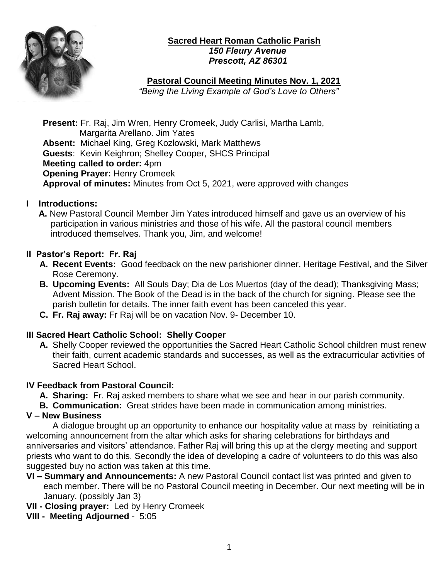

#### **Sacred Heart Roman Catholic Parish**  *150 Fleury Avenue Prescott, AZ 86301*

## **Pastoral Council Meeting Minutes Nov. 1, 2021**

 *"Being the Living Example of God's Love to Others"* 

**Present:** Fr. Raj, Jim Wren, Henry Cromeek, Judy Carlisi, Martha Lamb, Margarita Arellano. Jim Yates **Absent:** Michael King, Greg Kozlowski, Mark Matthews **Guests**: Kevin Keighron; Shelley Cooper, SHCS Principal **Meeting called to order:** 4pm **Opening Prayer:** Henry Cromeek **Approval of minutes:** Minutes from Oct 5, 2021, were approved with changes

### **I Introductions:**

 **A.** New Pastoral Council Member Jim Yates introduced himself and gave us an overview of his participation in various ministries and those of his wife. All the pastoral council members introduced themselves. Thank you, Jim, and welcome!

## **II Pastor's Report: Fr. Raj**

- **A. Recent Events:** Good feedback on the new parishioner dinner, Heritage Festival, and the Silver Rose Ceremony.
- **B. Upcoming Events:** All Souls Day; Dia de Los Muertos (day of the dead); Thanksgiving Mass; Advent Mission. The Book of the Dead is in the back of the church for signing. Please see the parish bulletin for details. The inner faith event has been canceled this year.
- **C. Fr. Raj away:** Fr Raj will be on vacation Nov. 9- December 10.

# **III Sacred Heart Catholic School: Shelly Cooper**

**A.** Shelly Cooper reviewed the opportunities the Sacred Heart Catholic School children must renew their faith, current academic standards and successes, as well as the extracurricular activities of Sacred Heart School.

### **IV Feedback from Pastoral Council:**

- **A. Sharing:** Fr. Raj asked members to share what we see and hear in our parish community.
- **B. Communication:** Great strides have been made in communication among ministries.

# **V – New Business**

A dialogue brought up an opportunity to enhance our hospitality value at mass by reinitiating a welcoming announcement from the altar which asks for sharing celebrations for birthdays and anniversaries and visitors' attendance. Father Raj will bring this up at the clergy meeting and support priests who want to do this. Secondly the idea of developing a cadre of volunteers to do this was also suggested buy no action was taken at this time.

**VI – Summary and Announcements:** A new Pastoral Council contact list was printed and given to each member. There will be no Pastoral Council meeting in December. Our next meeting will be in January. (possibly Jan 3)

**VII - Closing prayer:** Led by Henry Cromeek

**VIII - Meeting Adjourned** - 5:05